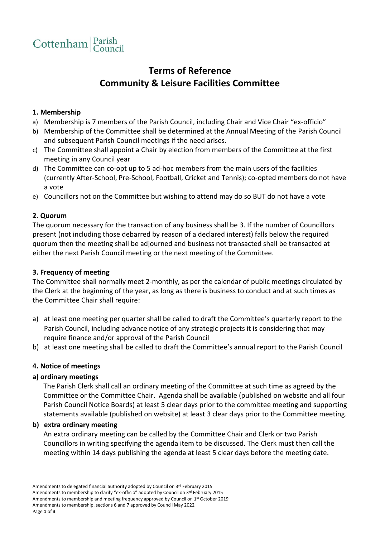

# **Terms of Reference Community & Leisure Facilities Committee**

## **1. Membership**

- a) Membership is 7 members of the Parish Council, including Chair and Vice Chair "ex-officio"
- b) Membership of the Committee shall be determined at the Annual Meeting of the Parish Council and subsequent Parish Council meetings if the need arises.
- c) The Committee shall appoint a Chair by election from members of the Committee at the first meeting in any Council year
- d) The Committee can co-opt up to 5 ad-hoc members from the main users of the facilities (currently After-School, Pre-School, Football, Cricket and Tennis); co-opted members do not have a vote
- e) Councillors not on the Committee but wishing to attend may do so BUT do not have a vote

### **2. Quorum**

The quorum necessary for the transaction of any business shall be 3. If the number of Councillors present (not including those debarred by reason of a declared interest) falls below the required quorum then the meeting shall be adjourned and business not transacted shall be transacted at either the next Parish Council meeting or the next meeting of the Committee.

## **3. Frequency of meeting**

The Committee shall normally meet 2-monthly, as per the calendar of public meetings circulated by the Clerk at the beginning of the year, as long as there is business to conduct and at such times as the Committee Chair shall require:

- a) at least one meeting per quarter shall be called to draft the Committee's quarterly report to the Parish Council, including advance notice of any strategic projects it is considering that may require finance and/or approval of the Parish Council
- b) at least one meeting shall be called to draft the Committee's annual report to the Parish Council

#### **4. Notice of meetings**

## **a) ordinary meetings**

The Parish Clerk shall call an ordinary meeting of the Committee at such time as agreed by the Committee or the Committee Chair. Agenda shall be available (published on website and all four Parish Council Notice Boards) at least 5 clear days prior to the committee meeting and supporting statements available (published on website) at least 3 clear days prior to the Committee meeting.

#### **b) extra ordinary meeting**

An extra ordinary meeting can be called by the Committee Chair and Clerk or two Parish Councillors in writing specifying the agenda item to be discussed. The Clerk must then call the meeting within 14 days publishing the agenda at least 5 clear days before the meeting date.

Amendments to delegated financial authority adopted by Council on 3rd February 2015 Amendments to membership to clarify "ex-officio" adopted by Council on 3<sup>rd</sup> February 2015 Amendments to membership and meeting frequency approved by Council on 1st October 2019 Amendments to membership, sections 6 and 7 approved by Council May 2022 Page **1** of **3**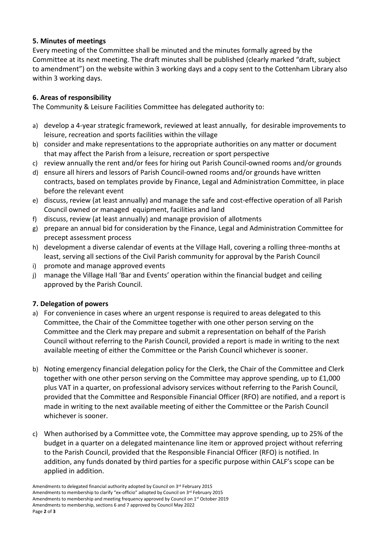# **5. Minutes of meetings**

Every meeting of the Committee shall be minuted and the minutes formally agreed by the Committee at its next meeting. The draft minutes shall be published (clearly marked "draft, subject to amendment") on the website within 3 working days and a copy sent to the Cottenham Library also within 3 working days.

# **6. Areas of responsibility**

The Community & Leisure Facilities Committee has delegated authority to:

- a) develop a 4-year strategic framework, reviewed at least annually, for desirable improvements to leisure, recreation and sports facilities within the village
- b) consider and make representations to the appropriate authorities on any matter or document that may affect the Parish from a leisure, recreation or sport perspective
- c) review annually the rent and/or fees for hiring out Parish Council-owned rooms and/or grounds
- d) ensure all hirers and lessors of Parish Council-owned rooms and/or grounds have written contracts, based on templates provide by Finance, Legal and Administration Committee, in place before the relevant event
- e) discuss, review (at least annually) and manage the safe and cost-effective operation of all Parish Council owned or managed equipment, facilities and land
- f) discuss, review (at least annually) and manage provision of allotments
- g) prepare an annual bid for consideration by the Finance, Legal and Administration Committee for precept assessment process
- h) development a diverse calendar of events at the Village Hall, covering a rolling three-months at least, serving all sections of the Civil Parish community for approval by the Parish Council
- i) promote and manage approved events
- j) manage the Village Hall 'Bar and Events' operation within the financial budget and ceiling approved by the Parish Council.

# **7. Delegation of powers**

- a) For convenience in cases where an urgent response is required to areas delegated to this Committee, the Chair of the Committee together with one other person serving on the Committee and the Clerk may prepare and submit a representation on behalf of the Parish Council without referring to the Parish Council, provided a report is made in writing to the next available meeting of either the Committee or the Parish Council whichever is sooner.
- b) Noting emergency financial delegation policy for the Clerk, the Chair of the Committee and Clerk together with one other person serving on the Committee may approve spending, up to £1,000 plus VAT in a quarter, on professional advisory services without referring to the Parish Council, provided that the Committee and Responsible Financial Officer (RFO) are notified, and a report is made in writing to the next available meeting of either the Committee or the Parish Council whichever is sooner.
- c) When authorised by a Committee vote, the Committee may approve spending, up to 25% of the budget in a quarter on a delegated maintenance line item or approved project without referring to the Parish Council, provided that the Responsible Financial Officer (RFO) is notified. In addition, any funds donated by third parties for a specific purpose within CALF's scope can be applied in addition.